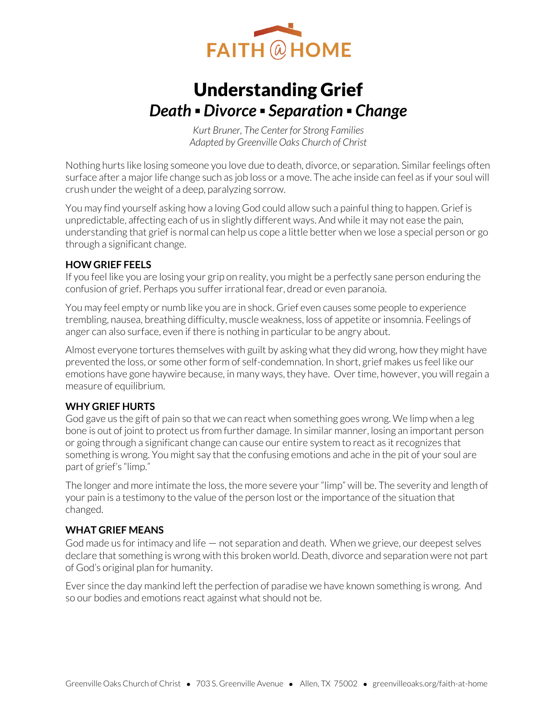

# Understanding Grief *Death ▪ Divorce ▪ Separation ▪ Change*

*Kurt Bruner, The Center for Strong Families Adapted by Greenville Oaks Church of Christ* 

Nothing hurts like losing someone you love due to death, divorce, or separation. Similar feelings often surface after a major life change such as job loss or a move. The ache inside can feel as if your soul will crush under the weight of a deep, paralyzing sorrow.

You may find yourself asking how a loving God could allow such a painful thing to happen. Grief is unpredictable, affecting each of us in slightly different ways. And while it may not ease the pain, understanding that grief is normal can help us cope a little better when we lose a special person or go through a significant change.

# **HOW GRIEF FEELS**

If you feel like you are losing your grip on reality, you might be a perfectly sane person enduring the confusion of grief. Perhaps you suffer irrational fear, dread or even paranoia.

You may feel empty or numb like you are in shock. Grief even causes some people to experience trembling, nausea, breathing difficulty, muscle weakness, loss of appetite or insomnia. Feelings of anger can also surface, even if there is nothing in particular to be angry about.

Almost everyone tortures themselves with guilt by asking what they did wrong, how they might have prevented the loss, or some other form of self-condemnation. In short, grief makes us feel like our emotions have gone haywire because, in many ways, they have. Over time, however, you will regain a measure of equilibrium.

# **WHY GRIEF HURTS**

God gave us the gift of pain so that we can react when something goes wrong. We limp when a leg bone is out of joint to protect us from further damage. In similar manner, losing an important person or going through a significant change can cause our entire system to react as it recognizes that something is wrong. You might say that the confusing emotions and ache in the pit of your soul are part of grief's "limp."

The longer and more intimate the loss, the more severe your "limp" will be. The severity and length of your pain is a testimony to the value of the person lost or the importance of the situation that changed.

## **WHAT GRIEF MEANS**

God made us for intimacy and life  $-$  not separation and death. When we grieve, our deepest selves declare that something is wrong with this broken world. Death, divorce and separation were not part of God's original plan for humanity.

Ever since the day mankind left the perfection of paradise we have known something is wrong. And so our bodies and emotions react against what should not be.